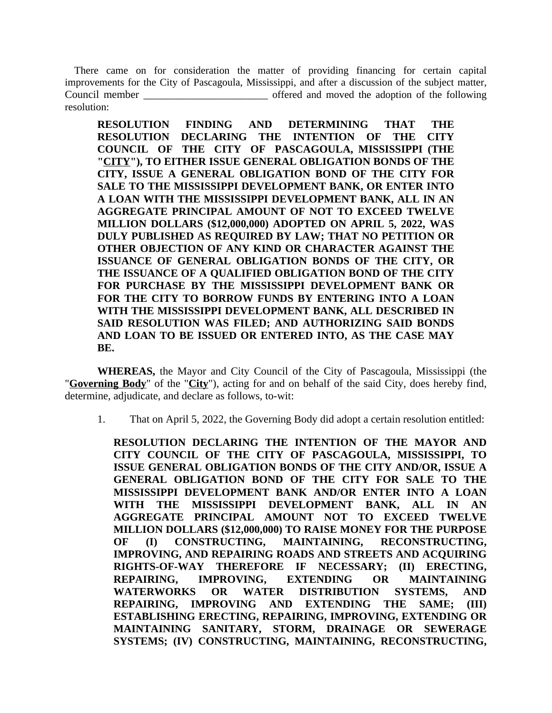There came on for consideration the matter of providing financing for certain capital improvements for the City of Pascagoula, Mississippi, and after a discussion of the subject matter, Council member **the council member** of the state of the adoption of the following resolution:

**RESOLUTION FINDING AND DETERMINING THAT THE RESOLUTION DECLARING THE INTENTION OF THE CITY COUNCIL OF THE CITY OF PASCAGOULA, MISSISSIPPI (THE "CITY"), TO EITHER ISSUE GENERAL OBLIGATION BONDS OF THE CITY, ISSUE A GENERAL OBLIGATION BOND OF THE CITY FOR SALE TO THE MISSISSIPPI DEVELOPMENT BANK, OR ENTER INTO A LOAN WITH THE MISSISSIPPI DEVELOPMENT BANK, ALL IN AN AGGREGATE PRINCIPAL AMOUNT OF NOT TO EXCEED TWELVE MILLION DOLLARS (\$12,000,000) ADOPTED ON APRIL 5, 2022, WAS DULY PUBLISHED AS REQUIRED BY LAW; THAT NO PETITION OR OTHER OBJECTION OF ANY KIND OR CHARACTER AGAINST THE ISSUANCE OF GENERAL OBLIGATION BONDS OF THE CITY, OR THE ISSUANCE OF A QUALIFIED OBLIGATION BOND OF THE CITY FOR PURCHASE BY THE MISSISSIPPI DEVELOPMENT BANK OR FOR THE CITY TO BORROW FUNDS BY ENTERING INTO A LOAN WITH THE MISSISSIPPI DEVELOPMENT BANK, ALL DESCRIBED IN SAID RESOLUTION WAS FILED; AND AUTHORIZING SAID BONDS AND LOAN TO BE ISSUED OR ENTERED INTO, AS THE CASE MAY BE.**

**WHEREAS,** the Mayor and City Council of the City of Pascagoula, Mississippi (the "**Governing Body**" of the "**City**"), acting for and on behalf of the said City, does hereby find, determine, adjudicate, and declare as follows, to-wit:

1. That on April 5, 2022, the Governing Body did adopt a certain resolution entitled:

**RESOLUTION DECLARING THE INTENTION OF THE MAYOR AND CITY COUNCIL OF THE CITY OF PASCAGOULA, MISSISSIPPI, TO ISSUE GENERAL OBLIGATION BONDS OF THE CITY AND/OR, ISSUE A GENERAL OBLIGATION BOND OF THE CITY FOR SALE TO THE MISSISSIPPI DEVELOPMENT BANK AND/OR ENTER INTO A LOAN WITH THE MISSISSIPPI DEVELOPMENT BANK, ALL IN AN AGGREGATE PRINCIPAL AMOUNT NOT TO EXCEED TWELVE MILLION DOLLARS (\$12,000,000) TO RAISE MONEY FOR THE PURPOSE OF (I) CONSTRUCTING, MAINTAINING, RECONSTRUCTING, IMPROVING, AND REPAIRING ROADS AND STREETS AND ACQUIRING RIGHTS-OF-WAY THEREFORE IF NECESSARY; (II) ERECTING, REPAIRING, IMPROVING, EXTENDING OR MAINTAINING WATERWORKS OR WATER DISTRIBUTION SYSTEMS, AND REPAIRING, IMPROVING AND EXTENDING THE SAME; (III) ESTABLISHING ERECTING, REPAIRING, IMPROVING, EXTENDING OR MAINTAINING SANITARY, STORM, DRAINAGE OR SEWERAGE SYSTEMS; (IV) CONSTRUCTING, MAINTAINING, RECONSTRUCTING,**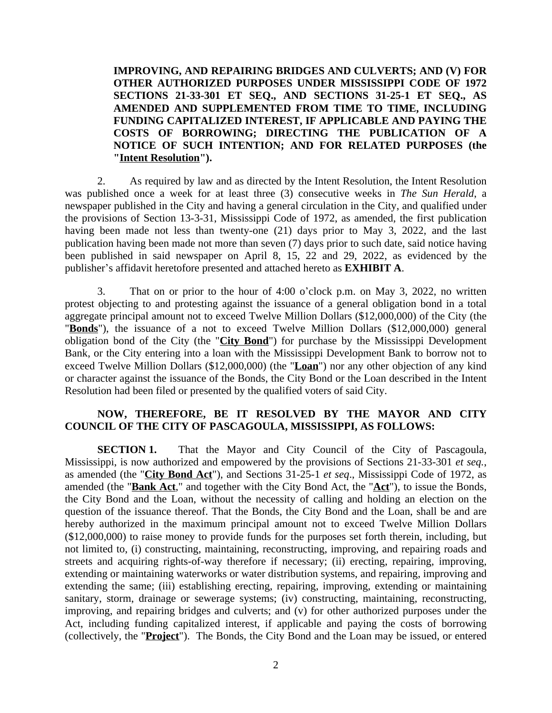**IMPROVING, AND REPAIRING BRIDGES AND CULVERTS; AND (V) FOR OTHER AUTHORIZED PURPOSES UNDER MISSISSIPPI CODE OF 1972 SECTIONS 21-33-301 ET SEQ., AND SECTIONS 31-25-1 ET SEQ., AS AMENDED AND SUPPLEMENTED FROM TIME TO TIME, INCLUDING FUNDING CAPITALIZED INTEREST, IF APPLICABLE AND PAYING THE COSTS OF BORROWING; DIRECTING THE PUBLICATION OF A NOTICE OF SUCH INTENTION; AND FOR RELATED PURPOSES (the "Intent Resolution").**

2. As required by law and as directed by the Intent Resolution, the Intent Resolution was published once a week for at least three (3) consecutive weeks in *The Sun Herald*, a newspaper published in the City and having a general circulation in the City, and qualified under the provisions of Section 13-3-31, Mississippi Code of 1972, as amended, the first publication having been made not less than twenty-one (21) days prior to May 3, 2022, and the last publication having been made not more than seven (7) days prior to such date, said notice having been published in said newspaper on April 8, 15, 22 and 29, 2022, as evidenced by the publisher's affidavit heretofore presented and attached hereto as **EXHIBIT A**.

3. That on or prior to the hour of 4:00 o'clock p.m. on May 3, 2022, no written protest objecting to and protesting against the issuance of a general obligation bond in a total aggregate principal amount not to exceed Twelve Million Dollars (\$12,000,000) of the City (the "**Bonds**"), the issuance of a not to exceed Twelve Million Dollars (\$12,000,000) general obligation bond of the City (the "**City Bond**") for purchase by the Mississippi Development Bank, or the City entering into a loan with the Mississippi Development Bank to borrow not to exceed Twelve Million Dollars (\$12,000,000) (the "**Loan**") nor any other objection of any kind or character against the issuance of the Bonds, the City Bond or the Loan described in the Intent Resolution had been filed or presented by the qualified voters of said City.

## **NOW, THEREFORE, BE IT RESOLVED BY THE MAYOR AND CITY COUNCIL OF THE CITY OF PASCAGOULA, MISSISSIPPI, AS FOLLOWS:**

**SECTION 1.** That the Mayor and City Council of the City of Pascagoula, Mississippi, is now authorized and empowered by the provisions of Sections 21-33-301 *et seq.*, as amended (the "**City Bond Act**"), and Sections 31-25-1 *et seq*., Mississippi Code of 1972, as amended (the "**Bank Act**," and together with the City Bond Act, the "**Act**"), to issue the Bonds, the City Bond and the Loan, without the necessity of calling and holding an election on the question of the issuance thereof. That the Bonds, the City Bond and the Loan, shall be and are hereby authorized in the maximum principal amount not to exceed Twelve Million Dollars (\$12,000,000) to raise money to provide funds for the purposes set forth therein, including, but not limited to, (i) constructing, maintaining, reconstructing, improving, and repairing roads and streets and acquiring rights-of-way therefore if necessary; (ii) erecting, repairing, improving, extending or maintaining waterworks or water distribution systems, and repairing, improving and extending the same; (iii) establishing erecting, repairing, improving, extending or maintaining sanitary, storm, drainage or sewerage systems; (iv) constructing, maintaining, reconstructing, improving, and repairing bridges and culverts; and (v) for other authorized purposes under the Act, including funding capitalized interest, if applicable and paying the costs of borrowing (collectively, the "**Project**"). The Bonds, the City Bond and the Loan may be issued, or entered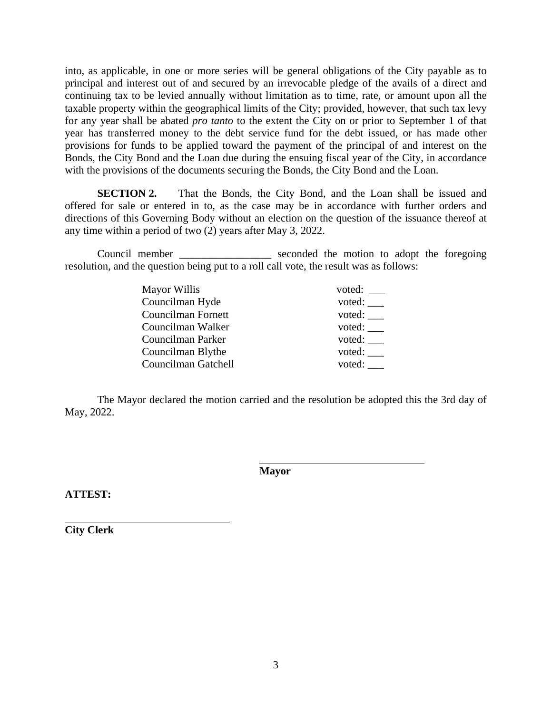into, as applicable, in one or more series will be general obligations of the City payable as to principal and interest out of and secured by an irrevocable pledge of the avails of a direct and continuing tax to be levied annually without limitation as to time, rate, or amount upon all the taxable property within the geographical limits of the City; provided, however, that such tax levy for any year shall be abated *pro tanto* to the extent the City on or prior to September 1 of that year has transferred money to the debt service fund for the debt issued, or has made other provisions for funds to be applied toward the payment of the principal of and interest on the Bonds, the City Bond and the Loan due during the ensuing fiscal year of the City, in accordance with the provisions of the documents securing the Bonds, the City Bond and the Loan.

**SECTION 2.** That the Bonds, the City Bond, and the Loan shall be issued and offered for sale or entered in to, as the case may be in accordance with further orders and directions of this Governing Body without an election on the question of the issuance thereof at any time within a period of two (2) years after May 3, 2022.

Council member \_\_\_\_\_\_\_\_\_\_\_\_\_\_\_\_\_\_\_ seconded the motion to adopt the foregoing resolution, and the question being put to a roll call vote, the result was as follows:

| Mayor Willis        | voted: |
|---------------------|--------|
| Councilman Hyde     | voted: |
| Councilman Fornett  | voted: |
| Councilman Walker   | voted: |
| Councilman Parker   | voted: |
| Councilman Blythe   | voted: |
| Councilman Gatchell | voted: |

The Mayor declared the motion carried and the resolution be adopted this the 3rd day of May, 2022.

**Mayor**

 $\overline{a}$ 

**ATTEST:**

**City Clerk**

 $\overline{a}$